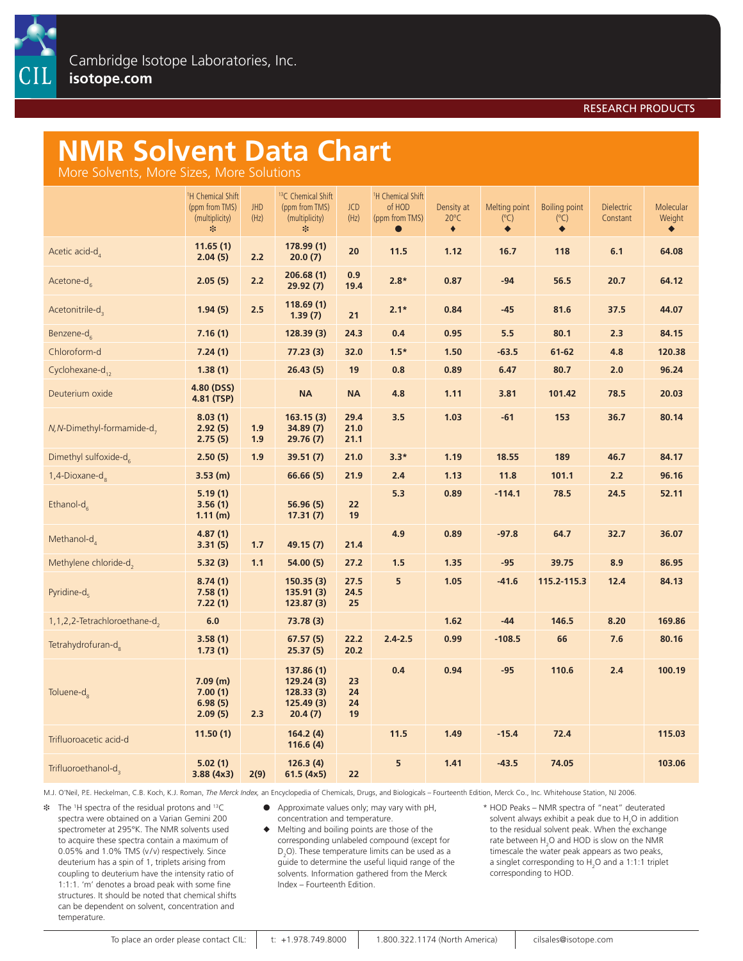#### RESEARCH PRODUCTS

# **NMR Solvent Data Chart**

More Solvents, More Sizes, More Solutions

|                                           | <sup>1</sup> H Chemical Shift<br>(ppm from TMS)<br>(multiplicity)<br>* | <b>JHD</b><br>(Hz) | <sup>13</sup> C Chemical Shift<br>(ppm from TMS)<br>(multiplicity)<br>$\ast$ | <b>JCD</b><br>(Hz)   | <sup>1</sup> H Chemical Shift<br>of HOD<br>(ppm from TMS)<br>$\bullet$ | Density at<br>$20^{\circ}$ C<br>٠ | Melting point<br>$(^{\circ}C)$<br>٠ | <b>Boiling point</b><br>$(^{\circ}C)$<br>٠ | <b>Dielectric</b><br>Constant | Molecular<br>Weight<br>٠ |
|-------------------------------------------|------------------------------------------------------------------------|--------------------|------------------------------------------------------------------------------|----------------------|------------------------------------------------------------------------|-----------------------------------|-------------------------------------|--------------------------------------------|-------------------------------|--------------------------|
| Acetic acid-d                             | 11.65(1)<br>2.04(5)                                                    | 2.2                | 178.99(1)<br>20.0(7)                                                         | 20                   | 11.5                                                                   | 1.12                              | 16.7                                | 118                                        | 6.1                           | 64.08                    |
| Acetone- $d_{\epsilon}$                   | 2.05(5)                                                                | 2.2                | 206.68(1)<br>29.92(7)                                                        | 0.9<br>19.4          | $2.8*$                                                                 | 0.87                              | $-94$                               | 56.5                                       | 20.7                          | 64.12                    |
| Acetonitrile-d,                           | 1.94(5)                                                                | 2.5                | 118.69(1)<br>1.39(7)                                                         | 21                   | $2.1*$                                                                 | 0.84                              | $-45$                               | 81.6                                       | 37.5                          | 44.07                    |
| Benzene-d $_c$                            | 7.16(1)                                                                |                    | 128.39(3)                                                                    | 24.3                 | 0.4                                                                    | 0.95                              | 5.5                                 | 80.1                                       | 2.3                           | 84.15                    |
| Chloroform-d                              | 7.24(1)                                                                |                    | 77.23(3)                                                                     | 32.0                 | $1.5*$                                                                 | 1.50                              | $-63.5$                             | 61-62                                      | 4.8                           | 120.38                   |
| Cyclohexane-d <sub>12</sub>               | 1.38(1)                                                                |                    | 26.43(5)                                                                     | 19                   | 0.8                                                                    | 0.89                              | 6.47                                | 80.7                                       | 2.0                           | 96.24                    |
| Deuterium oxide                           | 4.80 (DSS)<br>4.81 (TSP)                                               |                    | <b>NA</b>                                                                    | <b>NA</b>            | 4.8                                                                    | 1.11                              | 3.81                                | 101.42                                     | 78.5                          | 20.03                    |
| $N$ , N-Dimethyl-formamide-d <sub>7</sub> | 8.03(1)<br>2.92(5)<br>2.75(5)                                          | 1.9<br>1.9         | 163.15(3)<br>34.89 (7)<br>29.76(7)                                           | 29.4<br>21.0<br>21.1 | 3.5                                                                    | 1.03                              | $-61$                               | 153                                        | 36.7                          | 80.14                    |
| Dimethyl sulfoxide-d                      | 2.50(5)                                                                | 1.9                | 39.51(7)                                                                     | 21.0                 | $3.3*$                                                                 | 1.19                              | 18.55                               | 189                                        | 46.7                          | 84.17                    |
| 1,4-Dioxane-d                             | 3.53(m)                                                                |                    | 66.66(5)                                                                     | 21.9                 | 2.4                                                                    | 1.13                              | 11.8                                | 101.1                                      | 2.2                           | 96.16                    |
| Ethanol-d $_{c}$                          | 5.19(1)<br>3.56(1)<br>1.11(m)                                          |                    | 56.96 (5)<br>17.31(7)                                                        | 22<br>19             | 5.3                                                                    | 0.89                              | $-114.1$                            | 78.5                                       | 24.5                          | 52.11                    |
| Methanol-d                                | 4.87(1)<br>3.31(5)                                                     | 1.7                | 49.15 (7)                                                                    | 21.4                 | 4.9                                                                    | 0.89                              | $-97.8$                             | 64.7                                       | 32.7                          | 36.07                    |
| Methylene chloride-d,                     | 5.32(3)                                                                | 1.1                | 54.00(5)                                                                     | 27.2                 | 1.5                                                                    | 1.35                              | $-95$                               | 39.75                                      | 8.9                           | 86.95                    |
| Pyridine-d                                | 8.74(1)<br>7.58(1)<br>7.22(1)                                          |                    | 150.35(3)<br>135.91(3)<br>123.87(3)                                          | 27.5<br>24.5<br>25   | 5                                                                      | 1.05                              | $-41.6$                             | 115.2-115.3                                | 12.4                          | 84.13                    |
| 1,1,2,2-Tetrachloroethane-d,              | 6.0                                                                    |                    | 73.78 (3)                                                                    |                      |                                                                        | 1.62                              | $-44$                               | 146.5                                      | 8.20                          | 169.86                   |
| Tetrahydrofuran-d <sub>o</sub>            | 3.58(1)<br>1.73(1)                                                     |                    | 67.57(5)<br>25.37(5)                                                         | 22.2<br>20.2         | $2.4 - 2.5$                                                            | 0.99                              | $-108.5$                            | 66                                         | 7.6                           | 80.16                    |
| Toluene-d <sub>e</sub>                    | 7.09(m)<br>7.00(1)<br>6.98(5)<br>2.09(5)                               | 2.3                | 137.86(1)<br>129.24(3)<br>128.33(3)<br>125.49(3)<br>20.4(7)                  | 23<br>24<br>24<br>19 | 0.4                                                                    | 0.94                              | $-95$                               | 110.6                                      | 2.4                           | 100.19                   |
| Trifluoroacetic acid-d                    | 11.50(1)                                                               |                    | 164.2(4)<br>116.6(4)                                                         |                      | 11.5                                                                   | 1.49                              | $-15.4$                             | 72.4                                       |                               | 115.03                   |
| Trifluoroethanol-d,                       | 5.02(1)<br>3.88(4x3)                                                   | 2(9)               | 126.3(4)<br>61.5(4x5)                                                        | 22                   | 5                                                                      | 1.41                              | $-43.5$                             | 74.05                                      |                               | 103.06                   |

M.J. O'Neil, P.E. Heckelman, C.B. Koch, K.J. Roman, *The Merck Index,* an Encyclopedia of Chemicals, Drugs, and Biologicals – Fourteenth Edition, Merck Co., Inc. Whitehouse Station, NJ 2006.

 $*$  The <sup>1</sup>H spectra of the residual protons and <sup>13</sup>C spectra were obtained on a Varian Gemini 200 spectrometer at 295°K. The NMR solvents used to acquire these spectra contain a maximum of 0.05% and 1.0% TMS (v/v) respectively. Since deuterium has a spin of 1, triplets arising from coupling to deuterium have the intensity ratio of 1:1:1. 'm' denotes a broad peak with some fine structures. It should be noted that chemical shifts can be dependent on solvent, concentration and temperature.

� Approximate values only; may vary with pH, concentration and temperature.

◆ Melting and boiling points are those of the corresponding unlabeled compound (except for  $D_2$ O). These temperature limits can be used as a guide to determine the useful liquid range of the solvents. Information gathered from the Merck Index – Fourteenth Edition.

\* HOD Peaks – NMR spectra of "neat" deuterated solvent always exhibit a peak due to  $H_2O$  in addition to the residual solvent peak. When the exchange rate between  $H_2O$  and HOD is slow on the NMR timescale the water peak appears as two peaks, a singlet corresponding to  $H_2O$  and a 1:1:1 triplet corresponding to HOD.